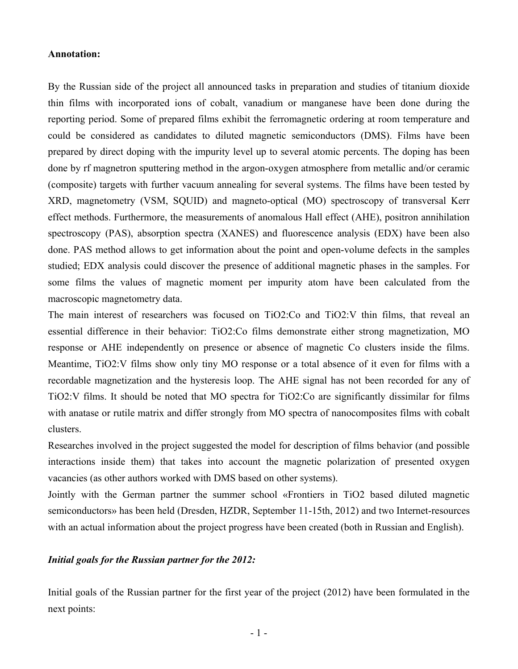## **Annotation:**

By the Russian side of the project all announced tasks in preparation and studies of titanium dioxide thin films with incorporated ions of cobalt, vanadium or manganese have been done during the reporting period. Some of prepared films exhibit the ferromagnetic ordering at room temperature and could be considered as candidates to diluted magnetic semiconductors (DMS). Films have been prepared by direct doping with the impurity level up to several atomic percents. The doping has been done by rf magnetron sputtering method in the argon-oxygen atmosphere from metallic and/or ceramic (composite) targets with further vacuum annealing for several systems. The films have been tested by XRD, magnetometry (VSM, SQUID) and magneto-optical (MO) spectroscopy of transversal Kerr effect methods. Furthermore, the measurements of anomalous Hall effect (AHE), positron annihilation spectroscopy (PAS), absorption spectra (XANES) and fluorescence analysis (EDX) have been also done. PAS method allows to get information about the point and open-volume defects in the samples studied; EDX analysis could discover the presence of additional magnetic phases in the samples. For some films the values of magnetic moment per impurity atom have been calculated from the macroscopic magnetometry data.

The main interest of researchers was focused on TiO2:Co and TiO2:V thin films, that reveal an essential difference in their behavior: TiO2:Co films demonstrate either strong magnetization, MO response or AHE independently on presence or absence of magnetic Co clusters inside the films. Meantime, TiO2:V films show only tiny MO response or a total absence of it even for films with a recordable magnetization and the hysteresis loop. The AHE signal has not been recorded for any of TiO2:V films. It should be noted that MO spectra for TiO2:Co are significantly dissimilar for films with anatase or rutile matrix and differ strongly from MO spectra of nanocomposites films with cobalt clusters.

Researches involved in the project suggested the model for description of films behavior (and possible interactions inside them) that takes into account the magnetic polarization of presented oxygen vacancies (as other authors worked with DMS based on other systems).

Jointly with the German partner the summer school «Frontiers in TiO2 based diluted magnetic semiconductors» has been held (Dresden, HZDR, September 11-15th, 2012) and two Internet-resources with an actual information about the project progress have been created (both in Russian and English).

## *Initial goals for the Russian partner for the 2012:*

Initial goals of the Russian partner for the first year of the project (2012) have been formulated in the next points: